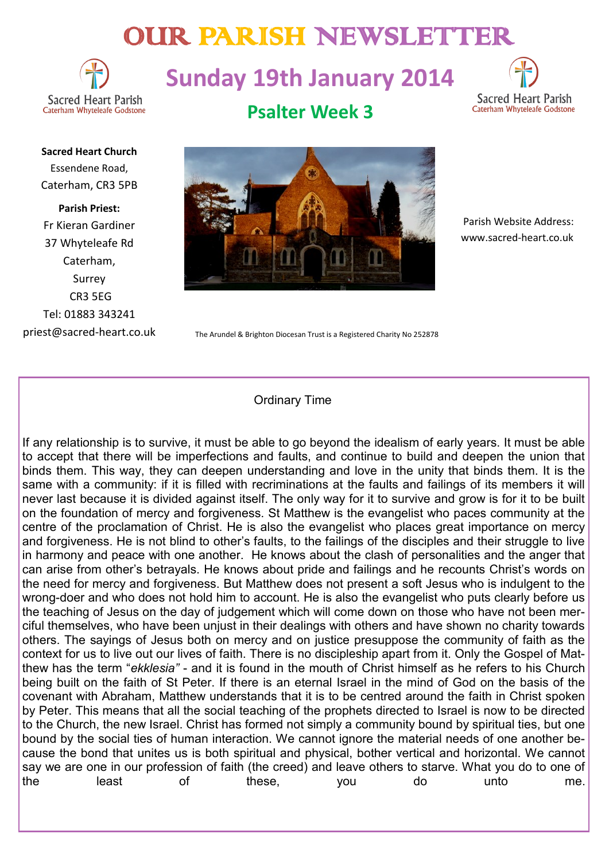# OUR PARISH NEWSLETTER



# **Sunday 19th January 2014**



**Sacred Heart Church** Essendene Road, Caterham, CR3 5PB

**Parish Priest:** Fr Kieran Gardiner 37 Whyteleafe Rd Caterham, Surrey CR3 5EG Tel: 01883 343241 priest@sacred-heart.co.uk **Psalter Week 3**



 Parish Website Address: www.sacred-heart.co.uk

The Arundel & Brighton Diocesan Trust is a Registered Charity No 252878

# Ordinary Time

If any relationship is to survive, it must be able to go beyond the idealism of early years. It must be able to accept that there will be imperfections and faults, and continue to build and deepen the union that binds them. This way, they can deepen understanding and love in the unity that binds them. It is the same with a community: if it is filled with recriminations at the faults and failings of its members it will never last because it is divided against itself. The only way for it to survive and grow is for it to be built on the foundation of mercy and forgiveness. St Matthew is the evangelist who paces community at the centre of the proclamation of Christ. He is also the evangelist who places great importance on mercy and forgiveness. He is not blind to other's faults, to the failings of the disciples and their struggle to live in harmony and peace with one another. He knows about the clash of personalities and the anger that can arise from other's betrayals. He knows about pride and failings and he recounts Christ's words on the need for mercy and forgiveness. But Matthew does not present a soft Jesus who is indulgent to the wrong-doer and who does not hold him to account. He is also the evangelist who puts clearly before us the teaching of Jesus on the day of judgement which will come down on those who have not been merciful themselves, who have been unjust in their dealings with others and have shown no charity towards others. The sayings of Jesus both on mercy and on justice presuppose the community of faith as the context for us to live out our lives of faith. There is no discipleship apart from it. Only the Gospel of Matthew has the term "*ekklesia"* - and it is found in the mouth of Christ himself as he refers to his Church being built on the faith of St Peter. If there is an eternal Israel in the mind of God on the basis of the covenant with Abraham, Matthew understands that it is to be centred around the faith in Christ spoken by Peter. This means that all the social teaching of the prophets directed to Israel is now to be directed to the Church, the new Israel. Christ has formed not simply a community bound by spiritual ties, but one bound by the social ties of human interaction. We cannot ignore the material needs of one another because the bond that unites us is both spiritual and physical, bother vertical and horizontal. We cannot say we are one in our profession of faith (the creed) and leave others to starve. What you do to one of the least of these, you do unto me.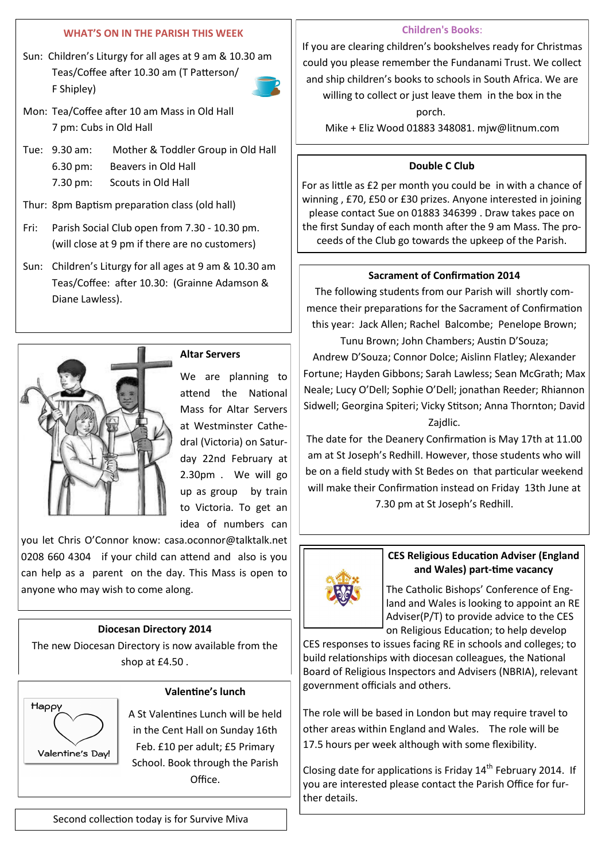## **WHAT'S ON IN THE PARISH THIS WEEK**

Sun: Children's Liturgy for all ages at 9 am & 10.30 am Teas/Coffee after 10.30 am (T Patterson/ F Shipley)



- Mon: Tea/Coffee after 10 am Mass in Old Hall 7 pm: Cubs in Old Hall
- Tue: 9.30 am: Mother & Toddler Group in Old Hall 6.30 pm: Beavers in Old Hall 7.30 pm: Scouts in Old Hall
- Thur: 8pm Baptism preparation class (old hall)
- Fri: Parish Social Club open from 7.30 10.30 pm. (will close at 9 pm if there are no customers)
- Sun: Children's Liturgy for all ages at 9 am & 10.30 am Teas/Coffee: after 10.30: (Grainne Adamson & Diane Lawless).



# **Altar Servers**

We are planning to attend the National Mass for Altar Servers at Westminster Cathedral (Victoria) on Saturday 22nd February at 2.30pm . We will go up as group by train to Victoria. To get an idea of numbers can

you let Chris O'Connor know: casa.oconnor@talktalk.net 0208 660 4304 if your child can attend and also is you can help as a parent on the day. This Mass is open to anyone who may wish to come along.

## **Diocesan Directory 2014**

The new Diocesan Directory is now available from the shop at £4.50 .



## **Valentine's lunch**

A St Valentines Lunch will be held in the Cent Hall on Sunday 16th Feb. £10 per adult; £5 Primary School. Book through the Parish Office.

### **Children's Books**:

If you are clearing children's bookshelves ready for Christmas could you please remember the Fundanami Trust. We collect and ship children's books to schools in South Africa. We are willing to collect or just leave them in the box in the

porch. Mike + Eliz Wood 01883 348081. mjw@litnum.com

## **Double C Club**

For as little as £2 per month you could be in with a chance of winning , £70, £50 or £30 prizes. Anyone interested in joining please contact Sue on 01883 346399 . Draw takes pace on the first Sunday of each month after the 9 am Mass. The proceeds of the Club go towards the upkeep of the Parish.

## **Sacrament of Confirmation 2014**

The following students from our Parish will shortly commence their preparations for the Sacrament of Confirmation this year: Jack Allen; Rachel Balcombe; Penelope Brown; Tunu Brown; John Chambers; Austin D'Souza;

Andrew D'Souza; Connor Dolce; Aislinn Flatley; Alexander Fortune; Hayden Gibbons; Sarah Lawless; Sean McGrath; Max Neale; Lucy O'Dell; Sophie O'Dell; jonathan Reeder; Rhiannon Sidwell; Georgina Spiteri; Vicky Stitson; Anna Thornton; David Zajdlic.

The date for the Deanery Confirmation is May 17th at 11.00 am at St Joseph's Redhill. However, those students who will be on a field study with St Bedes on that particular weekend will make their Confirmation instead on Friday 13th June at 7.30 pm at St Joseph's Redhill.



## **CES Religious Education Adviser (England and Wales) part-time vacancy**

The Catholic Bishops' Conference of England and Wales is looking to appoint an RE Adviser(P/T) to provide advice to the CES on Religious Education; to help develop

CES responses to issues facing RE in schools and colleges; to build relationships with diocesan colleagues, the National Board of Religious Inspectors and Advisers (NBRIA), relevant government officials and others.

The role will be based in London but may require travel to other areas within England and Wales. The role will be 17.5 hours per week although with some flexibility.

Closing date for applications is Friday  $14<sup>th</sup>$  February 2014. If you are interested please contact the Parish Office for further details.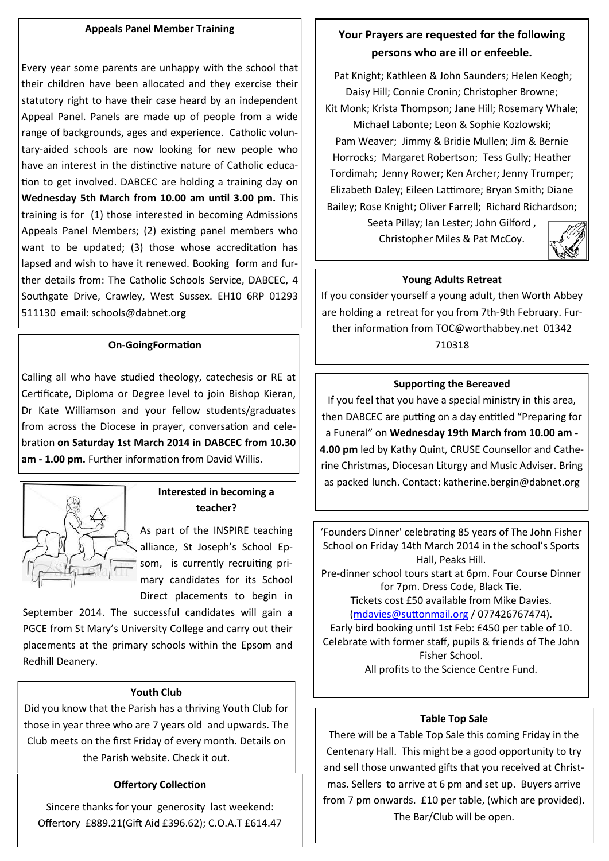### **Appeals Panel Member Training**

Every year some parents are unhappy with the school that their children have been allocated and they exercise their statutory right to have their case heard by an independent Appeal Panel. Panels are made up of people from a wide range of backgrounds, ages and experience. Catholic voluntary-aided schools are now looking for new people who have an interest in the distinctive nature of Catholic education to get involved. DABCEC are holding a training day on **Wednesday 5th March from 10.00 am until 3.00 pm.** This training is for (1) those interested in becoming Admissions Appeals Panel Members; (2) existing panel members who want to be updated; (3) those whose accreditation has lapsed and wish to have it renewed. Booking form and further details from: The Catholic Schools Service, DABCEC, 4 Southgate Drive, Crawley, West Sussex. EH10 6RP 01293 511130 email: schools@dabnet.org

#### **On-GoingFormation**

Calling all who have studied theology, catechesis or RE at Certificate, Diploma or Degree level to join Bishop Kieran, Dr Kate Williamson and your fellow students/graduates from across the Diocese in prayer, conversation and celebration **on Saturday 1st March 2014 in DABCEC from 10.30 am - 1.00 pm.** Further information from David Willis.



## **Interested in becoming a teacher?**

As part of the INSPIRE teaching alliance, St Joseph's School Epsom, is currently recruiting primary candidates for its School Direct placements to begin in

September 2014. The successful candidates will gain a PGCE from St Mary's University College and carry out their placements at the primary schools within the Epsom and Redhill Deanery.

#### **Youth Club**

Did you know that the Parish has a thriving Youth Club for those in year three who are 7 years old and upwards. The Club meets on the first Friday of every month. Details on the Parish website. Check it out.

#### **Offertory Collection**

Sincere thanks for your generosity last weekend: Offertory £889.21(Gift Aid £396.62); C.O.A.T £614.47

# **Your Prayers are requested for the following persons who are ill or enfeeble.**

Pat Knight; Kathleen & John Saunders; Helen Keogh; Daisy Hill; Connie Cronin; Christopher Browne; Kit Monk; Krista Thompson; Jane Hill; Rosemary Whale; Michael Labonte; Leon & Sophie Kozlowski; Pam Weaver; Jimmy & Bridie Mullen; Jim & Bernie Horrocks; Margaret Robertson; Tess Gully; Heather Tordimah; Jenny Rower; Ken Archer; Jenny Trumper; Elizabeth Daley; Eileen Lattimore; Bryan Smith; Diane Bailey; Rose Knight; Oliver Farrell; Richard Richardson;

> Seeta Pillay; Ian Lester; John Gilford , Christopher Miles & Pat McCoy.



### **Young Adults Retreat**

If you consider yourself a young adult, then Worth Abbey are holding a retreat for you from 7th-9th February. Further information from TOC@worthabbey.net 01342 710318

### **Supporting the Bereaved**

If you feel that you have a special ministry in this area, then DABCEC are putting on a day entitled "Preparing for a Funeral" on **Wednesday 19th March from 10.00 am - 4.00 pm** led by Kathy Quint, CRUSE Counsellor and Catherine Christmas, Diocesan Liturgy and Music Adviser. Bring as packed lunch. Contact: katherine.bergin@dabnet.org

'Founders Dinner' celebrating 85 years of The John Fisher School on Friday 14th March 2014 in the school's Sports Hall, Peaks Hill. Pre-dinner school tours start at 6pm. Four Course Dinner

for 7pm. Dress Code, Black Tie. Tickets cost £50 available from Mike Davies. ([mdavies@suttonmail.org](mailto:mdavies@suttonmail.org) / 077426767474).

Early bird booking until 1st Feb: £450 per table of 10. Celebrate with former staff, pupils & friends of The John Fisher School. All profits to the Science Centre Fund.

#### **Table Top Sale**

There will be a Table Top Sale this coming Friday in the Centenary Hall. This might be a good opportunity to try and sell those unwanted gifts that you received at Christmas. Sellers to arrive at 6 pm and set up. Buyers arrive from 7 pm onwards. £10 per table, (which are provided). The Bar/Club will be open.